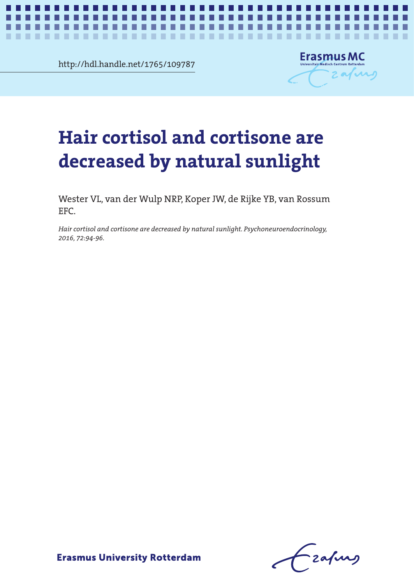http://hdl.handle.net/1765/109787

.................

п



*Sunlight and hair glucocorticoids* **1**

# air cortisol and cortisone are<br>creased by natural sunlight decreased by natural sunlight **decreased by natural sunlight Hair cortisol and cortisone are**

٠ ٠ . . .

ш ш

Wester VL, van der Wulp NRP, Koper JW, de Rijke YB, van Rossum EFC.

.<br>Hair cortisol and cortisone are decreased by natural sunlight. Psychoneuroendocrinology, *2016, 72:94-96.*

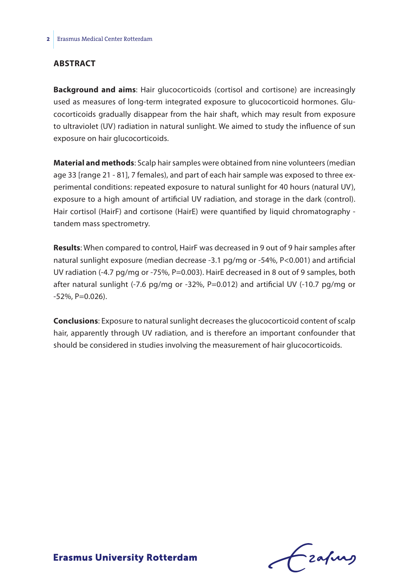## **Abstract**

**Background and aims**: Hair glucocorticoids (cortisol and cortisone) are increasingly used as measures of long-term integrated exposure to glucocorticoid hormones. Glucocorticoids gradually disappear from the hair shaft, which may result from exposure to ultraviolet (UV) radiation in natural sunlight. We aimed to study the influence of sun exposure on hair glucocorticoids.

**Material and methods**: Scalp hair samples were obtained from nine volunteers (median age 33 [range 21 - 81], 7 females), and part of each hair sample was exposed to three experimental conditions: repeated exposure to natural sunlight for 40 hours (natural UV), exposure to a high amount of artificial UV radiation, and storage in the dark (control). Hair cortisol (HairF) and cortisone (HairE) were quantified by liquid chromatography tandem mass spectrometry.

**Results**: When compared to control, HairF was decreased in 9 out of 9 hair samples after natural sunlight exposure (median decrease -3.1 pg/mg or -54%, P<0.001) and artificial UV radiation (-4.7 pg/mg or -75%, P=0.003). HairE decreased in 8 out of 9 samples, both after natural sunlight  $(-7.6 \text{ pg/mg or } -32\%$ , P=0.012) and artificial UV  $(-10.7 \text{ pg/mg or }$  $-52\%$ , P=0.026).

**Conclusions**: Exposure to natural sunlight decreases the glucocorticoid content of scalp hair, apparently through UV radiation, and is therefore an important confounder that should be considered in studies involving the measurement of hair glucocorticoids.

-zafurs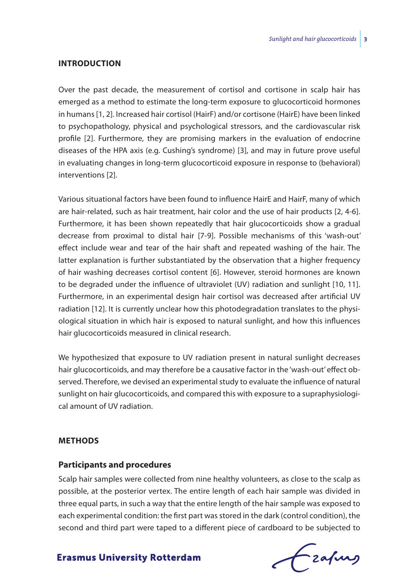#### **Introduction**

Over the past decade, the measurement of cortisol and cortisone in scalp hair has emerged as a method to estimate the long-term exposure to glucocorticoid hormones in humans [1, 2]. Increased hair cortisol (HairF) and/or cortisone (HairE) have been linked to psychopathology, physical and psychological stressors, and the cardiovascular risk profile [2]. Furthermore, they are promising markers in the evaluation of endocrine diseases of the HPA axis (e.g. Cushing's syndrome) [3], and may in future prove useful in evaluating changes in long-term glucocorticoid exposure in response to (behavioral) interventions [2].

Various situational factors have been found to influence HairE and HairF, many of which are hair-related, such as hair treatment, hair color and the use of hair products [2, 4-6]. Furthermore, it has been shown repeatedly that hair glucocorticoids show a gradual decrease from proximal to distal hair [7-9]. Possible mechanisms of this 'wash-out' effect include wear and tear of the hair shaft and repeated washing of the hair. The latter explanation is further substantiated by the observation that a higher frequency of hair washing decreases cortisol content [6]. However, steroid hormones are known to be degraded under the influence of ultraviolet (UV) radiation and sunlight [10, 11]. Furthermore, in an experimental design hair cortisol was decreased after artificial UV radiation [12]. It is currently unclear how this photodegradation translates to the physiological situation in which hair is exposed to natural sunlight, and how this influences hair glucocorticoids measured in clinical research.

We hypothesized that exposure to UV radiation present in natural sunlight decreases hair glucocorticoids, and may therefore be a causative factor in the 'wash-out' effect observed. Therefore, we devised an experimental study to evaluate the influence of natural sunlight on hair glucocorticoids, and compared this with exposure to a supraphysiological amount of UV radiation.

#### **Methods**

#### **Participants and procedures**

Scalp hair samples were collected from nine healthy volunteers, as close to the scalp as possible, at the posterior vertex. The entire length of each hair sample was divided in three equal parts, in such a way that the entire length of the hair sample was exposed to each experimental condition: the first part was stored in the dark (control condition), the second and third part were taped to a different piece of cardboard to be subjected to

frafing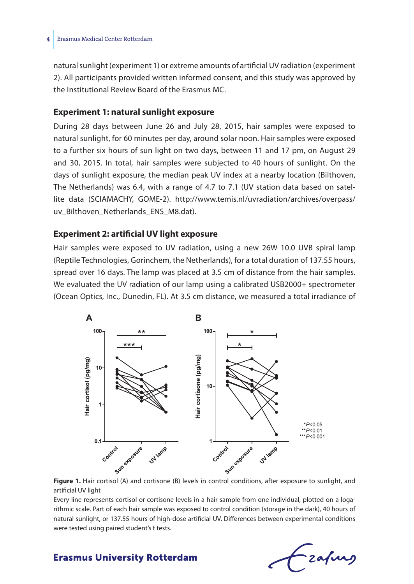natural sunlight (experiment 1) or extreme amounts of artificial UV radiation (experiment 2). All participants provided written informed consent, and this study was approved by the Institutional Review Board of the Erasmus MC.

## **Experiment 1: natural sunlight exposure**

During 28 days between June 26 and July 28, 2015, hair samples were exposed to natural sunlight, for 60 minutes per day, around solar noon. Hair samples were exposed to a further six hours of sun light on two days, between 11 and 17 pm, on August 29 and 30, 2015. In total, hair samples were subjected to 40 hours of sunlight. On the days of sunlight exposure, the median peak UV index at a nearby location (Bilthoven, The Netherlands) was 6.4, with a range of 4.7 to 7.1 (UV station data based on satellite data (SCIAMACHY, GOME-2). http://www.temis.nl/uvradiation/archives/overpass/ uv Bilthoven Netherlands ENS M8.dat).

## **Experiment 2: artificial UV light exposure**

Hair samples were exposed to UV radiation, using a new 26W 10.0 UVB spiral lamp (Reptile Technologies, Gorinchem, the Netherlands), for a total duration of 137.55 hours, spread over 16 days. The lamp was placed at 3.5 cm of distance from the hair samples. We evaluated the UV radiation of our lamp using a calibrated USB2000+ spectrometer (Ocean Optics, Inc., Dunedin, FL). At 3.5 cm distance, we measured a total irradiance of





Every line represents cortisol or cortisone levels in a hair sample from one individual, plotted on a logarithmic scale. Part of each hair sample was exposed to control condition (storage in the dark), 40 hours of natural sunlight, or 137.55 hours of high-dose artificial UV. Differences between experimental conditions were tested using paired student's t tests.

Lzafung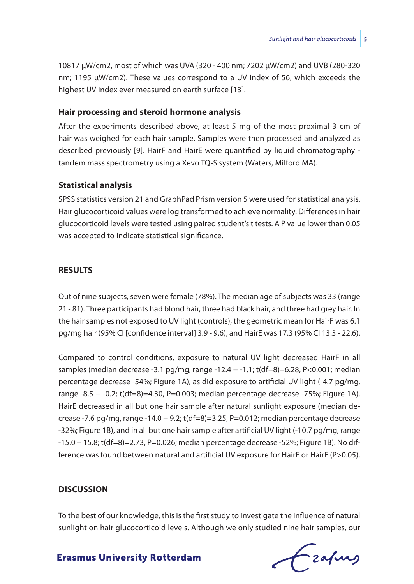10817 μW/cm2, most of which was UVA (320 - 400 nm; 7202 μW/cm2) and UVB (280-320 nm; 1195 μW/cm2). These values correspond to a UV index of 56, which exceeds the highest UV index ever measured on earth surface [13].

### **Hair processing and steroid hormone analysis**

After the experiments described above, at least 5 mg of the most proximal 3 cm of hair was weighed for each hair sample. Samples were then processed and analyzed as described previously [9]. HairF and HairE were quantified by liquid chromatography tandem mass spectrometry using a Xevo TQ-S system (Waters, Milford MA).

## **Statistical analysis**

SPSS statistics version 21 and GraphPad Prism version 5 were used for statistical analysis. Hair glucocorticoid values were log transformed to achieve normality. Differences in hair glucocorticoid levels were tested using paired student's t tests. A P value lower than 0.05 was accepted to indicate statistical significance.

#### **Results**

Out of nine subjects, seven were female (78%). The median age of subjects was 33 (range 21 - 81). Three participants had blond hair, three had black hair, and three had grey hair. In the hair samples not exposed to UV light (controls), the geometric mean for HairF was 6.1 pg/mg hair (95% CI [confidence interval] 3.9 - 9.6), and HairE was 17.3 (95% CI 13.3 - 22.6).

Compared to control conditions, exposure to natural UV light decreased HairF in all samples (median decrease -3.1 pg/mg, range -12.4 – -1.1; t(df=8)=6.28, P<0.001; median percentage decrease -54%; Figure 1A), as did exposure to artificial UV light (-4.7 pg/mg, range -8.5 − -0.2; t(df=8)=4.30, P=0.003; median percentage decrease -75%; Figure 1A). HairE decreased in all but one hair sample after natural sunlight exposure (median decrease -7.6 pg/mg, range -14.0 − 9.2; t(df=8)=3.25, P=0.012; median percentage decrease -32%; Figure 1B), and in all but one hair sample after artificial UV light (-10.7 pg/mg, range -15.0 − 15.8; t(df=8)=2.73, P=0.026; median percentage decrease -52%; Figure 1B). No difference was found between natural and artificial UV exposure for HairF or HairE (P>0.05).

#### **Discussion**

To the best of our knowledge, this is the first study to investigate the influence of natural sunlight on hair glucocorticoid levels. Although we only studied nine hair samples, our

Czafing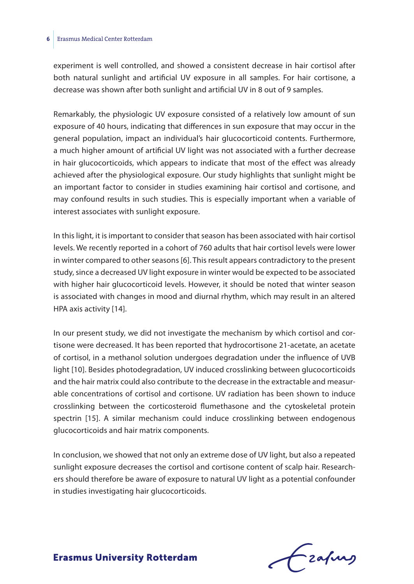#### **6** Erasmus Medical Center Rotterdam

experiment is well controlled, and showed a consistent decrease in hair cortisol after both natural sunlight and artificial UV exposure in all samples. For hair cortisone, a decrease was shown after both sunlight and artificial UV in 8 out of 9 samples.

Remarkably, the physiologic UV exposure consisted of a relatively low amount of sun exposure of 40 hours, indicating that differences in sun exposure that may occur in the general population, impact an individual's hair glucocorticoid contents. Furthermore, a much higher amount of artificial UV light was not associated with a further decrease in hair glucocorticoids, which appears to indicate that most of the effect was already achieved after the physiological exposure. Our study highlights that sunlight might be an important factor to consider in studies examining hair cortisol and cortisone, and may confound results in such studies. This is especially important when a variable of interest associates with sunlight exposure.

In this light, it is important to consider that season has been associated with hair cortisol levels. We recently reported in a cohort of 760 adults that hair cortisol levels were lower in winter compared to other seasons [6]. This result appears contradictory to the present study, since a decreased UV light exposure in winter would be expected to be associated with higher hair glucocorticoid levels. However, it should be noted that winter season is associated with changes in mood and diurnal rhythm, which may result in an altered HPA axis activity [14].

In our present study, we did not investigate the mechanism by which cortisol and cortisone were decreased. It has been reported that hydrocortisone 21-acetate, an acetate of cortisol, in a methanol solution undergoes degradation under the influence of UVB light [10]. Besides photodegradation, UV induced crosslinking between glucocorticoids and the hair matrix could also contribute to the decrease in the extractable and measurable concentrations of cortisol and cortisone. UV radiation has been shown to induce crosslinking between the corticosteroid flumethasone and the cytoskeletal protein spectrin [15]. A similar mechanism could induce crosslinking between endogenous glucocorticoids and hair matrix components.

In conclusion, we showed that not only an extreme dose of UV light, but also a repeated sunlight exposure decreases the cortisol and cortisone content of scalp hair. Researchers should therefore be aware of exposure to natural UV light as a potential confounder in studies investigating hair glucocorticoids.

Frafing